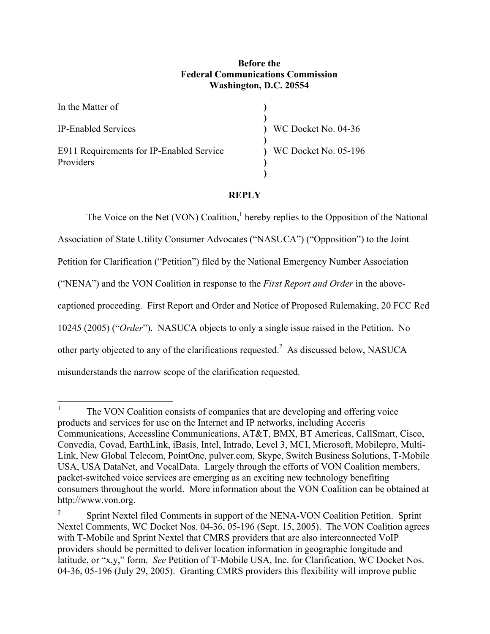# **Before the Federal Communications Commission Washington, D.C. 20554**

| In the Matter of                                      |                        |
|-------------------------------------------------------|------------------------|
| <b>IP-Enabled Services</b>                            | WC Docket No. 04-36    |
| E911 Requirements for IP-Enabled Service<br>Providers | ) WC Docket No. 05-196 |

## **REPLY**

The Voice on the Net (VON) Coalition, $<sup>1</sup>$  hereby replies to the Opposition of the National</sup> Association of State Utility Consumer Advocates ("NASUCA") ("Opposition") to the Joint Petition for Clarification ("Petition") filed by the National Emergency Number Association ("NENA") and the VON Coalition in response to the *First Report and Order* in the abovecaptioned proceeding. First Report and Order and Notice of Proposed Rulemaking, 20 FCC Rcd 10245 (2005) ("*Order*"). NASUCA objects to only a single issue raised in the Petition. No other party objected to any of the clarifications requested.<sup>2</sup> As discussed below, NASUCA misunderstands the narrow scope of the clarification requested.

 $\frac{1}{1}$  The VON Coalition consists of companies that are developing and offering voice products and services for use on the Internet and IP networks, including Acceris Communications, Accessline Communications, AT&T, BMX, BT Americas, CallSmart, Cisco, Convedia, Covad, EarthLink, iBasis, Intel, Intrado, Level 3, MCI, Microsoft, Mobilepro, Multi-Link, New Global Telecom, PointOne, pulver.com, Skype, Switch Business Solutions, T-Mobile USA, USA DataNet, and VocalData. Largely through the efforts of VON Coalition members, packet-switched voice services are emerging as an exciting new technology benefiting consumers throughout the world. More information about the VON Coalition can be obtained at http://www.von.org.

<sup>2</sup> Sprint Nextel filed Comments in support of the NENA-VON Coalition Petition. Sprint Nextel Comments, WC Docket Nos. 04-36, 05-196 (Sept. 15, 2005). The VON Coalition agrees with T-Mobile and Sprint Nextel that CMRS providers that are also interconnected VoIP providers should be permitted to deliver location information in geographic longitude and latitude, or "x,y," form. *See* Petition of T-Mobile USA, Inc. for Clarification, WC Docket Nos. 04-36, 05-196 (July 29, 2005). Granting CMRS providers this flexibility will improve public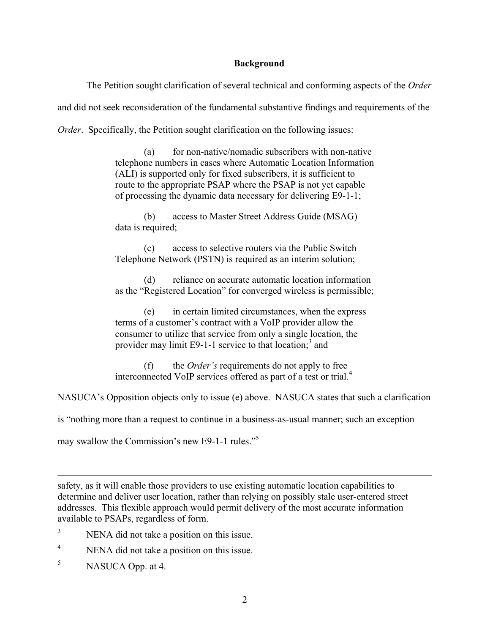### **Background**

The Petition sought clarification of several technical and conforming aspects of the *Order* and did not seek reconsideration of the fundamental substantive findings and requirements of the *Order.* Specifically, the Petition sought clarification on the following issues:

> (a) for non-native/nomadic subscribers with non-native telephone numbers in cases where Automatic Location Information (ALI) is supported only for fixed subscribers, it is sufficient to route to the appropriate PSAP where the PSAP is not yet capable of processing the dynamic data necessary for delivering E9-1-1;

 (b) access to Master Street Address Guide (MSAG) data is required;

 (c) access to selective routers via the Public Switch Telephone Network (PSTN) is required as an interim solution;

 (d) reliance on accurate automatic location information as the "Registered Location" for converged wireless is permissible;

 (e) in certain limited circumstances, when the express terms of a customer's contract with a VoIP provider allow the consumer to utilize that service from only a single location, the provider may limit E9-1-1 service to that location;<sup>3</sup> and

 (f) the *Order's* requirements do not apply to free interconnected VoIP services offered as part of a test or trial.<sup>4</sup>

NASUCA's Opposition objects only to issue (e) above. NASUCA states that such a clarification

is "nothing more than a request to continue in a business-as-usual manner; such an exception

may swallow the Commission's new E9-1-1 rules."<sup>5</sup>

safety, as it will enable those providers to use existing automatic location capabilities to determine and deliver user location, rather than relying on possibly stale user-entered street addresses. This flexible approach would permit delivery of the most accurate information available to PSAPs, regardless of form.

- 3 NENA did not take a position on this issue.
- 4 NENA did not take a position on this issue.
- 5 NASUCA Opp. at 4.

 $\overline{a}$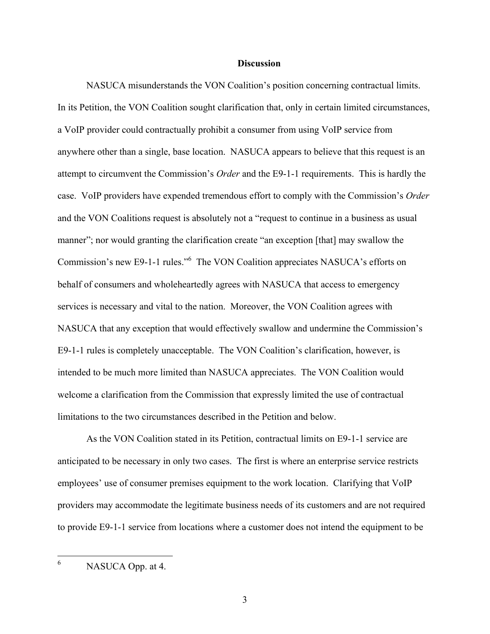#### **Discussion**

NASUCA misunderstands the VON Coalition's position concerning contractual limits. In its Petition, the VON Coalition sought clarification that, only in certain limited circumstances, a VoIP provider could contractually prohibit a consumer from using VoIP service from anywhere other than a single, base location. NASUCA appears to believe that this request is an attempt to circumvent the Commission's *Order* and the E9-1-1 requirements. This is hardly the case. VoIP providers have expended tremendous effort to comply with the Commission's *Order* and the VON Coalitions request is absolutely not a "request to continue in a business as usual manner"; nor would granting the clarification create "an exception [that] may swallow the Commission's new E9-1-1 rules."<sup>6</sup> The VON Coalition appreciates NASUCA's efforts on behalf of consumers and wholeheartedly agrees with NASUCA that access to emergency services is necessary and vital to the nation. Moreover, the VON Coalition agrees with NASUCA that any exception that would effectively swallow and undermine the Commission's E9-1-1 rules is completely unacceptable. The VON Coalition's clarification, however, is intended to be much more limited than NASUCA appreciates. The VON Coalition would welcome a clarification from the Commission that expressly limited the use of contractual limitations to the two circumstances described in the Petition and below.

As the VON Coalition stated in its Petition, contractual limits on E9-1-1 service are anticipated to be necessary in only two cases. The first is where an enterprise service restricts employees' use of consumer premises equipment to the work location. Clarifying that VoIP providers may accommodate the legitimate business needs of its customers and are not required to provide E9-1-1 service from locations where a customer does not intend the equipment to be

 6 NASUCA Opp. at 4.

3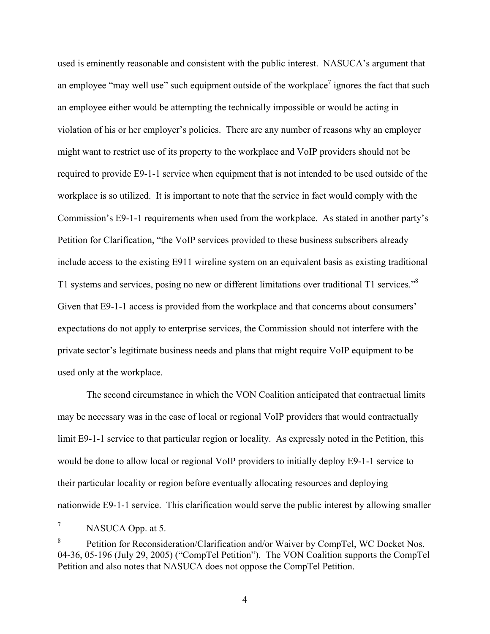used is eminently reasonable and consistent with the public interest. NASUCA's argument that an employee "may well use" such equipment outside of the workplace<sup>7</sup> ignores the fact that such an employee either would be attempting the technically impossible or would be acting in violation of his or her employer's policies. There are any number of reasons why an employer might want to restrict use of its property to the workplace and VoIP providers should not be required to provide E9-1-1 service when equipment that is not intended to be used outside of the workplace is so utilized. It is important to note that the service in fact would comply with the Commission's E9-1-1 requirements when used from the workplace. As stated in another party's Petition for Clarification, "the VoIP services provided to these business subscribers already include access to the existing E911 wireline system on an equivalent basis as existing traditional T1 systems and services, posing no new or different limitations over traditional T1 services."<sup>8</sup> Given that E9-1-1 access is provided from the workplace and that concerns about consumers' expectations do not apply to enterprise services, the Commission should not interfere with the private sector's legitimate business needs and plans that might require VoIP equipment to be used only at the workplace.

The second circumstance in which the VON Coalition anticipated that contractual limits may be necessary was in the case of local or regional VoIP providers that would contractually limit E9-1-1 service to that particular region or locality. As expressly noted in the Petition, this would be done to allow local or regional VoIP providers to initially deploy E9-1-1 service to their particular locality or region before eventually allocating resources and deploying nationwide E9-1-1 service. This clarification would serve the public interest by allowing smaller

<sup>—&</sup>lt;br>7 NASUCA Opp. at 5.

<sup>8</sup> Petition for Reconsideration/Clarification and/or Waiver by CompTel, WC Docket Nos. 04-36, 05-196 (July 29, 2005) ("CompTel Petition"). The VON Coalition supports the CompTel Petition and also notes that NASUCA does not oppose the CompTel Petition.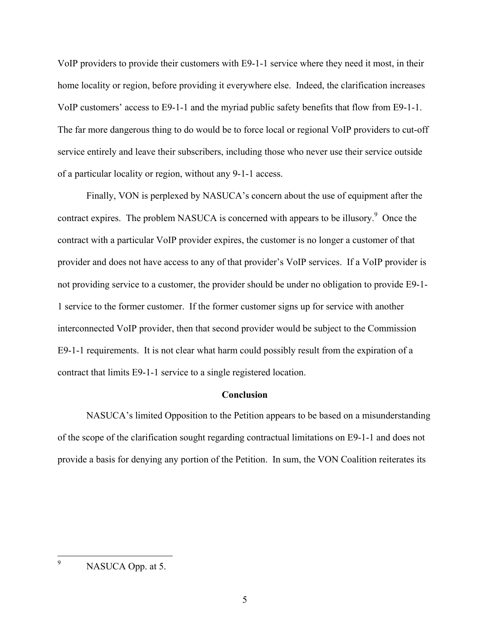VoIP providers to provide their customers with E9-1-1 service where they need it most, in their home locality or region, before providing it everywhere else. Indeed, the clarification increases VoIP customers' access to E9-1-1 and the myriad public safety benefits that flow from E9-1-1. The far more dangerous thing to do would be to force local or regional VoIP providers to cut-off service entirely and leave their subscribers, including those who never use their service outside of a particular locality or region, without any 9-1-1 access.

Finally, VON is perplexed by NASUCA's concern about the use of equipment after the contract expires. The problem NASUCA is concerned with appears to be illusory.<sup>9</sup> Once the contract with a particular VoIP provider expires, the customer is no longer a customer of that provider and does not have access to any of that provider's VoIP services. If a VoIP provider is not providing service to a customer, the provider should be under no obligation to provide E9-1- 1 service to the former customer. If the former customer signs up for service with another interconnected VoIP provider, then that second provider would be subject to the Commission E9-1-1 requirements. It is not clear what harm could possibly result from the expiration of a contract that limits E9-1-1 service to a single registered location.

## **Conclusion**

NASUCA's limited Opposition to the Petition appears to be based on a misunderstanding of the scope of the clarification sought regarding contractual limitations on E9-1-1 and does not provide a basis for denying any portion of the Petition. In sum, the VON Coalition reiterates its

 9 NASUCA Opp. at 5.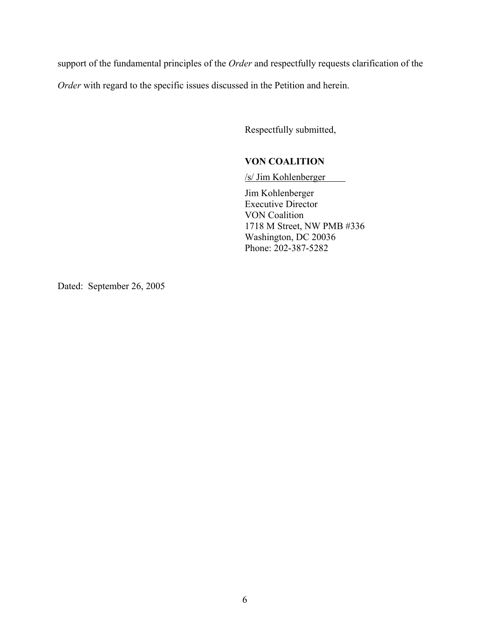support of the fundamental principles of the *Order* and respectfully requests clarification of the

*Order* with regard to the specific issues discussed in the Petition and herein.

Respectfully submitted,

# **VON COALITION**

/s/ Jim Kohlenberger

Jim Kohlenberger Executive Director VON Coalition 1718 M Street, NW PMB #336 Washington, DC 20036 Phone: 202-387-5282

Dated: September 26, 2005